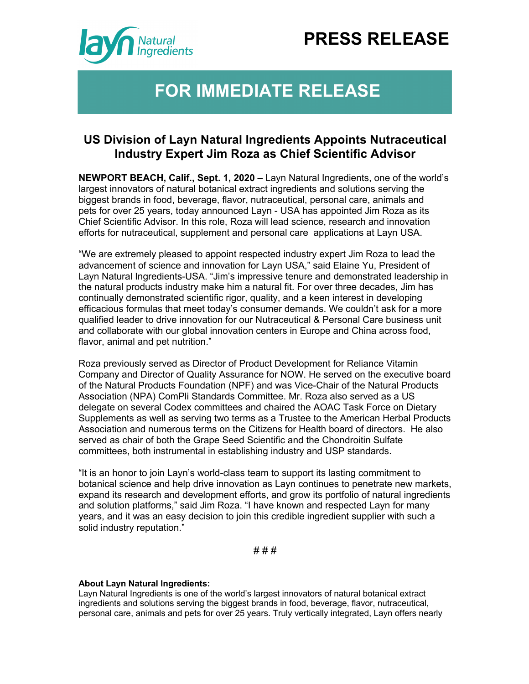# **PRESS RELEASE**



## **FOR IMMEDIATE RELEASE**

### **US Division of Layn Natural Ingredients Appoints Nutraceutical Industry Expert Jim Roza as Chief Scientific Advisor**

**NEWPORT BEACH, Calif., Sept. 1, 2020 –** Layn Natural Ingredients, one of the world's largest innovators of natural botanical extract ingredients and solutions serving the biggest brands in food, beverage, flavor, nutraceutical, personal care, animals and pets for over 25 years, today announced Layn - USA has appointed Jim Roza as its Chief Scientific Advisor. In this role, Roza will lead science, research and innovation efforts for nutraceutical, supplement and personal care applications at Layn USA.

"We are extremely pleased to appoint respected industry expert Jim Roza to lead the advancement of science and innovation for Layn USA," said Elaine Yu, President of Layn Natural Ingredients-USA. "Jim's impressive tenure and demonstrated leadership in the natural products industry make him a natural fit. For over three decades, Jim has continually demonstrated scientific rigor, quality, and a keen interest in developing efficacious formulas that meet today's consumer demands. We couldn't ask for a more qualified leader to drive innovation for our Nutraceutical & Personal Care business unit and collaborate with our global innovation centers in Europe and China across food, flavor, animal and pet nutrition."

Roza previously served as Director of Product Development for Reliance Vitamin Company and Director of Quality Assurance for NOW. He served on the executive board of the Natural Products Foundation (NPF) and was Vice-Chair of the Natural Products Association (NPA) ComPli Standards Committee. Mr. Roza also served as a US delegate on several Codex committees and chaired the AOAC Task Force on Dietary Supplements as well as serving two terms as a Trustee to the American Herbal Products Association and numerous terms on the Citizens for Health board of directors. He also served as chair of both the Grape Seed Scientific and the Chondroitin Sulfate committees, both instrumental in establishing industry and USP standards.

"It is an honor to join Layn's world-class team to support its lasting commitment to botanical science and help drive innovation as Layn continues to penetrate new markets, expand its research and development efforts, and grow its portfolio of natural ingredients and solution platforms," said Jim Roza. "I have known and respected Layn for many years, and it was an easy decision to join this credible ingredient supplier with such a solid industry reputation."

# # #

#### **About Layn Natural Ingredients:**

Layn Natural Ingredients is one of the world's largest innovators of natural botanical extract ingredients and solutions serving the biggest brands in food, beverage, flavor, nutraceutical, personal care, animals and pets for over 25 years. Truly vertically integrated, Layn offers nearly